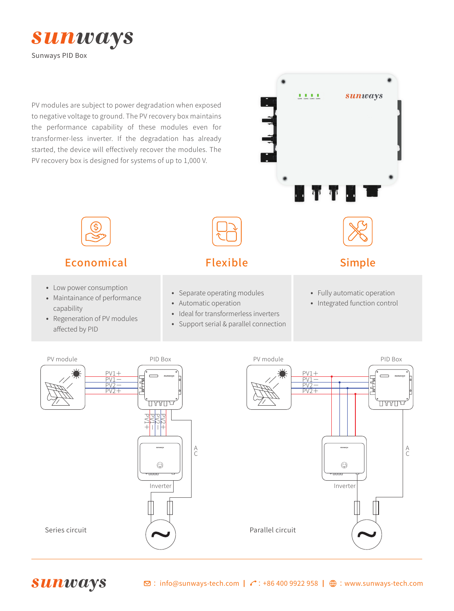

PV modules are subject to power degradation when exposed to negative voltage to ground. The PV recovery box maintains the performance capability of these modules even for transformer-less inverter. If the degradation has already started, the device will effectively recover the modules. The PV recovery box is designed for systems of up to 1,000 V.





- Low power consumption<br>• Maintainance of perform
- Maintainance of performance<br>capability capability
- Regeneration of PV modules<br>affected by PID affected by PID
- Separate operating modules<br>• Automatic operation
- Automatic operation<br>• Ideal for transformer
- Ideal for transformerless inverters
- Ideal for transformerless inverters<br>• Support serial & parallel connection ·
- Fully automatic operation
- Fully automatic operation<br>• Integrated function control ·